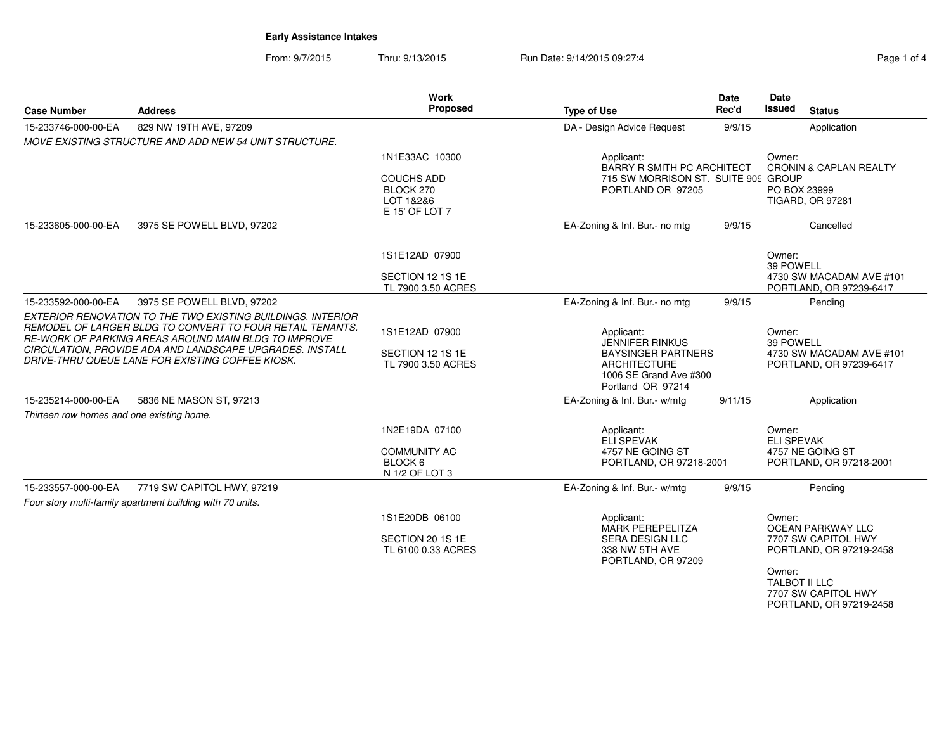From: 9/7/2015Thru: 9/13/2015 Run Date: 9/14/2015 09:27:4

| Page 1 of 4 |  |  |
|-------------|--|--|
|             |  |  |

| <b>Case Number</b>                        | <b>Address</b>                                                                                                                                                                                                                                                                                   | <b>Work</b><br><b>Proposed</b>                                     | <b>Type of Use</b>                                                                                                                      | <b>Date</b><br>Rec'd | Date<br><b>Issued</b><br><b>Status</b>                                     |
|-------------------------------------------|--------------------------------------------------------------------------------------------------------------------------------------------------------------------------------------------------------------------------------------------------------------------------------------------------|--------------------------------------------------------------------|-----------------------------------------------------------------------------------------------------------------------------------------|----------------------|----------------------------------------------------------------------------|
| 15-233746-000-00-EA                       | 829 NW 19TH AVE, 97209                                                                                                                                                                                                                                                                           |                                                                    | DA - Design Advice Request                                                                                                              | 9/9/15               | Application                                                                |
|                                           | MOVE EXISTING STRUCTURE AND ADD NEW 54 UNIT STRUCTURE.                                                                                                                                                                                                                                           |                                                                    |                                                                                                                                         |                      |                                                                            |
|                                           |                                                                                                                                                                                                                                                                                                  | 1N1E33AC 10300                                                     | Applicant:<br><b>BARRY R SMITH PC ARCHITECT</b>                                                                                         |                      | Owner:<br><b>CRONIN &amp; CAPLAN REALTY</b>                                |
|                                           |                                                                                                                                                                                                                                                                                                  | <b>COUCHS ADD</b><br>BLOCK 270<br>LOT 1&2&6<br>E 15' OF LOT 7      | 715 SW MORRISON ST. SUITE 909 GROUP<br>PORTLAND OR 97205                                                                                |                      | PO BOX 23999<br><b>TIGARD, OR 97281</b>                                    |
| 15-233605-000-00-EA                       | 3975 SE POWELL BLVD, 97202                                                                                                                                                                                                                                                                       |                                                                    | EA-Zoning & Inf. Bur.- no mtg                                                                                                           | 9/9/15               | Cancelled                                                                  |
|                                           |                                                                                                                                                                                                                                                                                                  | 1S1E12AD 07900                                                     |                                                                                                                                         |                      | Owner:<br>39 POWELL                                                        |
|                                           |                                                                                                                                                                                                                                                                                                  | SECTION 12 1S 1E<br>TL 7900 3.50 ACRES                             |                                                                                                                                         |                      | 4730 SW MACADAM AVE #101<br>PORTLAND, OR 97239-6417                        |
| 15-233592-000-00-EA                       | 3975 SE POWELL BLVD, 97202                                                                                                                                                                                                                                                                       |                                                                    | EA-Zoning & Inf. Bur.- no mtg                                                                                                           | 9/9/15               | Pending                                                                    |
|                                           | EXTERIOR RENOVATION TO THE TWO EXISTING BUILDINGS. INTERIOR<br>REMODEL OF LARGER BLDG TO CONVERT TO FOUR RETAIL TENANTS.<br>RE-WORK OF PARKING AREAS AROUND MAIN BLDG TO IMPROVE<br>CIRCULATION, PROVIDE ADA AND LANDSCAPE UPGRADES. INSTALL<br>DRIVE-THRU QUEUE LANE FOR EXISTING COFFEE KIOSK. | 1S1E12AD 07900<br>SECTION 12 1S 1E<br>TL 7900 3.50 ACRES           | Applicant:<br><b>JENNIFER RINKUS</b><br><b>BAYSINGER PARTNERS</b><br><b>ARCHITECTURE</b><br>1006 SE Grand Ave #300<br>Portland OR 97214 |                      | Owner:<br>39 POWELL<br>4730 SW MACADAM AVE #101<br>PORTLAND, OR 97239-6417 |
| 15-235214-000-00-EA                       | 5836 NE MASON ST, 97213                                                                                                                                                                                                                                                                          |                                                                    | EA-Zoning & Inf. Bur.- w/mtg                                                                                                            | 9/11/15              | Application                                                                |
| Thirteen row homes and one existing home. |                                                                                                                                                                                                                                                                                                  |                                                                    |                                                                                                                                         |                      |                                                                            |
|                                           |                                                                                                                                                                                                                                                                                                  | 1N2E19DA 07100<br><b>COMMUNITY AC</b><br>BLOCK 6<br>N 1/2 OF LOT 3 | Applicant:<br>ELI SPEVAK<br>4757 NE GOING ST<br>PORTLAND, OR 97218-2001                                                                 |                      | Owner:<br><b>ELI SPEVAK</b><br>4757 NE GOING ST<br>PORTLAND, OR 97218-2001 |
| 15-233557-000-00-EA                       | 7719 SW CAPITOL HWY, 97219<br>Four story multi-family apartment building with 70 units.                                                                                                                                                                                                          |                                                                    | EA-Zoning & Inf. Bur.- w/mtg                                                                                                            | 9/9/15               | Pending                                                                    |
|                                           |                                                                                                                                                                                                                                                                                                  | 1S1E20DB 06100                                                     | Applicant:<br><b>MARK PEREPELITZA</b>                                                                                                   |                      | Owner:<br>OCEAN PARKWAY LLC                                                |
|                                           |                                                                                                                                                                                                                                                                                                  | SECTION 20 1S 1E<br>TL 6100 0.33 ACRES                             | SERA DESIGN LLC<br>338 NW 5TH AVE<br>PORTLAND, OR 97209                                                                                 |                      | 7707 SW CAPITOL HWY<br>PORTLAND, OR 97219-2458                             |
|                                           |                                                                                                                                                                                                                                                                                                  |                                                                    |                                                                                                                                         |                      | Owner:<br>TALBOT II LLC<br>7707 SW CAPITOL HWY<br>PORTLAND, OR 97219-2458  |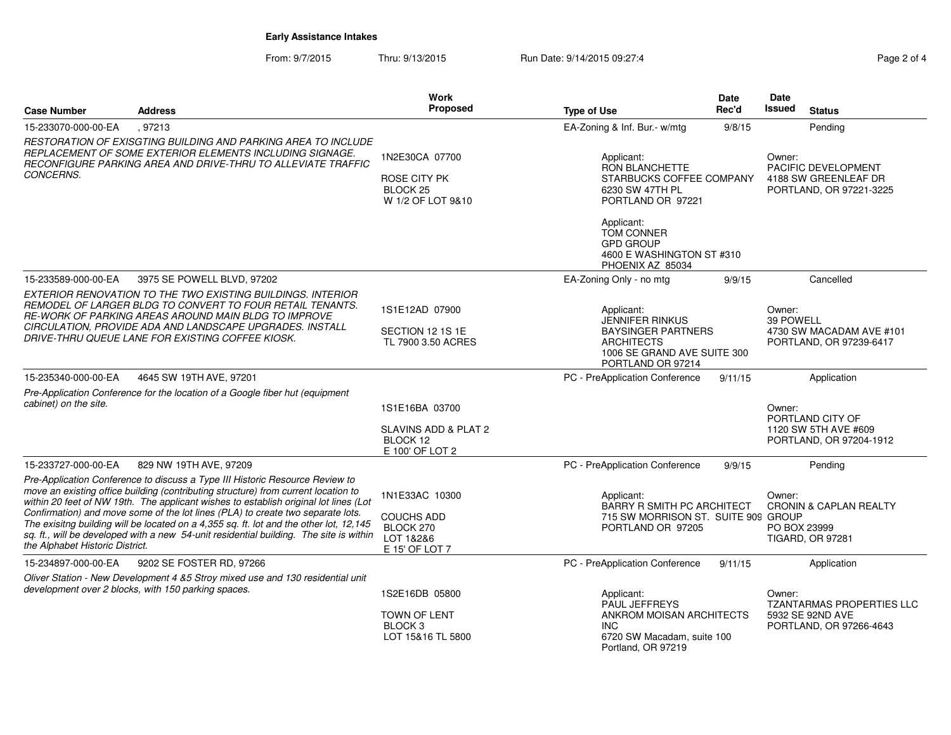From: 9/7/2015Thru: 9/13/2015 Run Date: 9/14/2015 09:27:4

| <b>Case Number</b>              | <b>Address</b>                                                                                                                                                                                                                                                                                                                                                                                                                                                                                                                    | Work<br>Proposed                                                                 | <b>Type of Use</b>                                                                                                                  | Date<br>Rec'd | Date<br>Issued         | <b>Status</b>                                                                   |
|---------------------------------|-----------------------------------------------------------------------------------------------------------------------------------------------------------------------------------------------------------------------------------------------------------------------------------------------------------------------------------------------------------------------------------------------------------------------------------------------------------------------------------------------------------------------------------|----------------------------------------------------------------------------------|-------------------------------------------------------------------------------------------------------------------------------------|---------------|------------------------|---------------------------------------------------------------------------------|
| 15-233070-000-00-EA             | , 97213                                                                                                                                                                                                                                                                                                                                                                                                                                                                                                                           |                                                                                  | EA-Zoning & Inf. Bur.- w/mtg                                                                                                        | 9/8/15        |                        | Pending                                                                         |
| <b>CONCERNS.</b>                | RESTORATION OF EXISGTING BUILDING AND PARKING AREA TO INCLUDE<br>REPLACEMENT OF SOME EXTERIOR ELEMENTS INCLUDING SIGNAGE.<br>RECONFIGURE PARKING AREA AND DRIVE-THRU TO ALLEVIATE TRAFFIC                                                                                                                                                                                                                                                                                                                                         | 1N2E30CA 07700<br>ROSE CITY PK<br>BLOCK <sub>25</sub><br>W 1/2 OF LOT 9&10       | Applicant:<br><b>RON BLANCHETTE</b><br>STARBUCKS COFFEE COMPANY<br>6230 SW 47TH PL<br>PORTLAND OR 97221                             |               | Owner:                 | PACIFIC DEVELOPMENT<br>4188 SW GREENLEAF DR<br>PORTLAND, OR 97221-3225          |
|                                 |                                                                                                                                                                                                                                                                                                                                                                                                                                                                                                                                   |                                                                                  | Applicant:<br><b>TOM CONNER</b><br><b>GPD GROUP</b><br>4600 E WASHINGTON ST #310<br>PHOENIX AZ 85034                                |               |                        |                                                                                 |
| 15-233589-000-00-EA             | 3975 SE POWELL BLVD, 97202                                                                                                                                                                                                                                                                                                                                                                                                                                                                                                        |                                                                                  | EA-Zoning Only - no mtg                                                                                                             | 9/9/15        |                        | Cancelled                                                                       |
|                                 | EXTERIOR RENOVATION TO THE TWO EXISTING BUILDINGS. INTERIOR<br>REMODEL OF LARGER BLDG TO CONVERT TO FOUR RETAIL TENANTS.<br>RE-WORK OF PARKING AREAS AROUND MAIN BLDG TO IMPROVE<br>CIRCULATION, PROVIDE ADA AND LANDSCAPE UPGRADES. INSTALL<br>DRIVE-THRU QUEUE LANE FOR EXISTING COFFEE KIOSK.                                                                                                                                                                                                                                  | 1S1E12AD 07900<br>SECTION 12 1S 1E<br>TL 7900 3.50 ACRES                         | Applicant:<br>JENNIFER RINKUS<br><b>BAYSINGER PARTNERS</b><br><b>ARCHITECTS</b><br>1006 SE GRAND AVE SUITE 300<br>PORTLAND OR 97214 |               | Owner:<br>39 POWELL    | 4730 SW MACADAM AVE #101<br>PORTLAND, OR 97239-6417                             |
| 15-235340-000-00-EA             | 4645 SW 19TH AVE, 97201                                                                                                                                                                                                                                                                                                                                                                                                                                                                                                           |                                                                                  | PC - PreApplication Conference                                                                                                      | 9/11/15       |                        | Application                                                                     |
| cabinet) on the site.           | Pre-Application Conference for the location of a Google fiber hut (equipment                                                                                                                                                                                                                                                                                                                                                                                                                                                      | 1S1E16BA 03700<br>SLAVINS ADD & PLAT 2<br>BLOCK 12<br>E 100' OF LOT 2            |                                                                                                                                     |               | Owner:                 | PORTLAND CITY OF<br>1120 SW 5TH AVE #609<br>PORTLAND, OR 97204-1912             |
| 15-233727-000-00-EA             | 829 NW 19TH AVE, 97209                                                                                                                                                                                                                                                                                                                                                                                                                                                                                                            |                                                                                  | PC - PreApplication Conference                                                                                                      | 9/9/15        |                        | Pending                                                                         |
| the Alphabet Historic District. | Pre-Application Conference to discuss a Type III Historic Resource Review to<br>move an existing office building (contributing structure) from current location to<br>within 20 feet of NW 19th. The applicant wishes to establish original lot lines (Lot<br>Confirmation) and move some of the lot lines (PLA) to create two separate lots.<br>The exisitng building will be located on a 4.355 sq. ft. lot and the other lot, 12,145<br>sq. ft., will be developed with a new 54-unit residential building. The site is within | 1N1E33AC 10300<br><b>COUCHS ADD</b><br>BLOCK 270<br>LOT 1&2&6<br>E 15' OF LOT 7  | Applicant:<br>BARRY R SMITH PC ARCHITECT<br>715 SW MORRISON ST. SUITE 909 GROUP<br>PORTLAND OR 97205                                |               | Owner:<br>PO BOX 23999 | <b>CRONIN &amp; CAPLAN REALTY</b><br><b>TIGARD, OR 97281</b>                    |
| 15-234897-000-00-EA             | 9202 SE FOSTER RD, 97266                                                                                                                                                                                                                                                                                                                                                                                                                                                                                                          |                                                                                  | PC - PreApplication Conference                                                                                                      | 9/11/15       |                        | Application                                                                     |
|                                 | Oliver Station - New Development 4 &5 Stroy mixed use and 130 residential unit<br>development over 2 blocks, with 150 parking spaces.                                                                                                                                                                                                                                                                                                                                                                                             | 1S2E16DB 05800<br><b>TOWN OF LENT</b><br>BLOCK <sub>3</sub><br>LOT 15&16 TL 5800 | Applicant:<br>PAUL JEFFREYS<br>ANKROM MOISAN ARCHITECTS<br><b>INC</b><br>6720 SW Macadam, suite 100<br>Portland, OR 97219           |               | Owner:                 | <b>TZANTARMAS PROPERTIES LLC</b><br>5932 SE 92ND AVE<br>PORTLAND, OR 97266-4643 |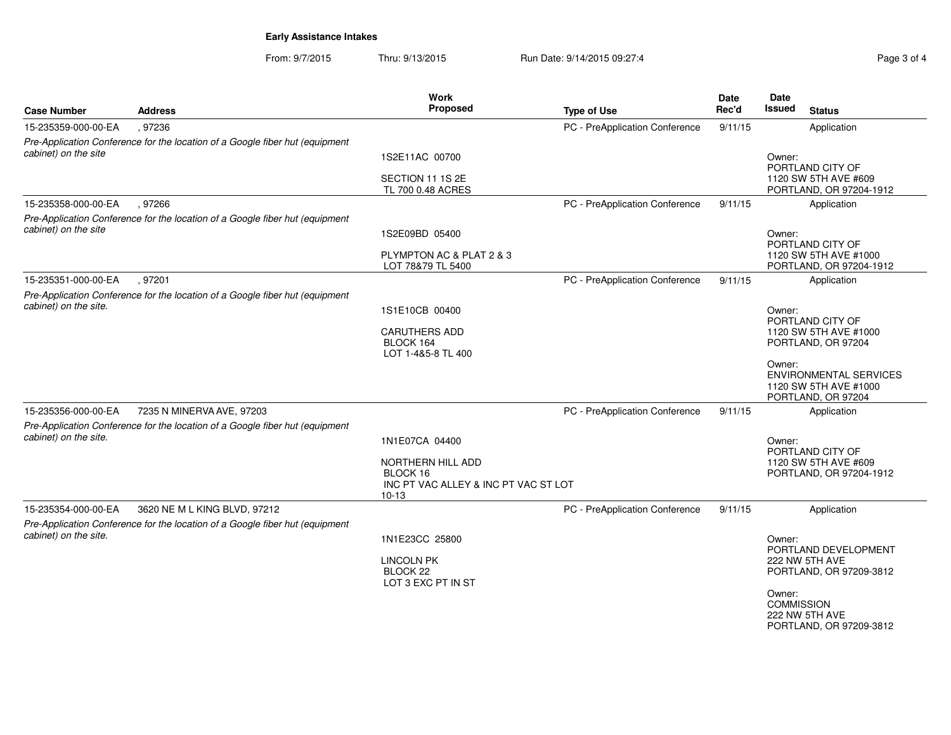From: 9/7/2015Thru: 9/13/2015 Run Date: 9/14/2015 09:27:4

| Page 3 o |  |
|----------|--|

| <b>Case Number</b>                                                    | <b>Address</b>                                                                                                                                                                            | <b>Work</b><br>Proposed                                                                     | <b>Type of Use</b>             | <b>Date</b><br>Rec'd | Date<br><b>Issued</b><br><b>Status</b>                                                                                                                                                                           |
|-----------------------------------------------------------------------|-------------------------------------------------------------------------------------------------------------------------------------------------------------------------------------------|---------------------------------------------------------------------------------------------|--------------------------------|----------------------|------------------------------------------------------------------------------------------------------------------------------------------------------------------------------------------------------------------|
| 15-235359-000-00-EA                                                   | .97236                                                                                                                                                                                    |                                                                                             | PC - PreApplication Conference | 9/11/15              | Application                                                                                                                                                                                                      |
| cabinet) on the site                                                  | Pre-Application Conference for the location of a Google fiber hut (equipment                                                                                                              | 1S2E11AC 00700<br>SECTION 11 1S 2E<br>TL 700 0.48 ACRES                                     |                                |                      | Owner:<br>PORTLAND CITY OF<br>1120 SW 5TH AVE #609<br>PORTLAND, OR 97204-1912                                                                                                                                    |
| 15-235358-000-00-EA                                                   | .97266                                                                                                                                                                                    |                                                                                             | PC - PreApplication Conference | 9/11/15              | Application                                                                                                                                                                                                      |
| cabinet) on the site                                                  | Pre-Application Conference for the location of a Google fiber hut (equipment                                                                                                              | 1S2E09BD 05400<br>PLYMPTON AC & PLAT 2 & 3<br>LOT 78&79 TL 5400                             |                                |                      | Owner:<br>PORTLAND CITY OF<br>1120 SW 5TH AVE #1000<br>PORTLAND, OR 97204-1912                                                                                                                                   |
| 15-235351-000-00-EA                                                   | .97201                                                                                                                                                                                    |                                                                                             | PC - PreApplication Conference | 9/11/15              | Application                                                                                                                                                                                                      |
| cabinet) on the site.<br>15-235356-000-00-EA<br>cabinet) on the site. | Pre-Application Conference for the location of a Google fiber hut (equipment<br>7235 N MINERVA AVE, 97203<br>Pre-Application Conference for the location of a Google fiber hut (equipment | 1S1E10CB 00400<br><b>CARUTHERS ADD</b><br>BLOCK 164<br>LOT 1-4&5-8 TL 400<br>1N1E07CA 04400 | PC - PreApplication Conference | 9/11/15              | Owner:<br>PORTLAND CITY OF<br>1120 SW 5TH AVE #1000<br>PORTLAND, OR 97204<br>Owner:<br><b>ENVIRONMENTAL SERVICES</b><br>1120 SW 5TH AVE #1000<br>PORTLAND, OR 97204<br>Application<br>Owner:<br>PORTLAND CITY OF |
|                                                                       |                                                                                                                                                                                           | NORTHERN HILL ADD<br>BLOCK 16<br>INC PT VAC ALLEY & INC PT VAC ST LOT<br>$10-13$            |                                |                      | 1120 SW 5TH AVE #609<br>PORTLAND, OR 97204-1912                                                                                                                                                                  |
| 15-235354-000-00-EA                                                   | 3620 NE M L KING BLVD, 97212                                                                                                                                                              |                                                                                             | PC - PreApplication Conference | 9/11/15              | Application                                                                                                                                                                                                      |
| cabinet) on the site.                                                 | Pre-Application Conference for the location of a Google fiber hut (equipment                                                                                                              | 1N1E23CC 25800<br><b>LINCOLN PK</b><br>BLOCK <sub>22</sub><br>LOT 3 EXC PT IN ST            |                                |                      | Owner:<br>PORTLAND DEVELOPMENT<br>222 NW 5TH AVE<br>PORTLAND, OR 97209-3812<br>Owner:<br><b>COMMISSION</b><br>222 NW 5TH AVE<br>PORTLAND, OR 97209-3812                                                          |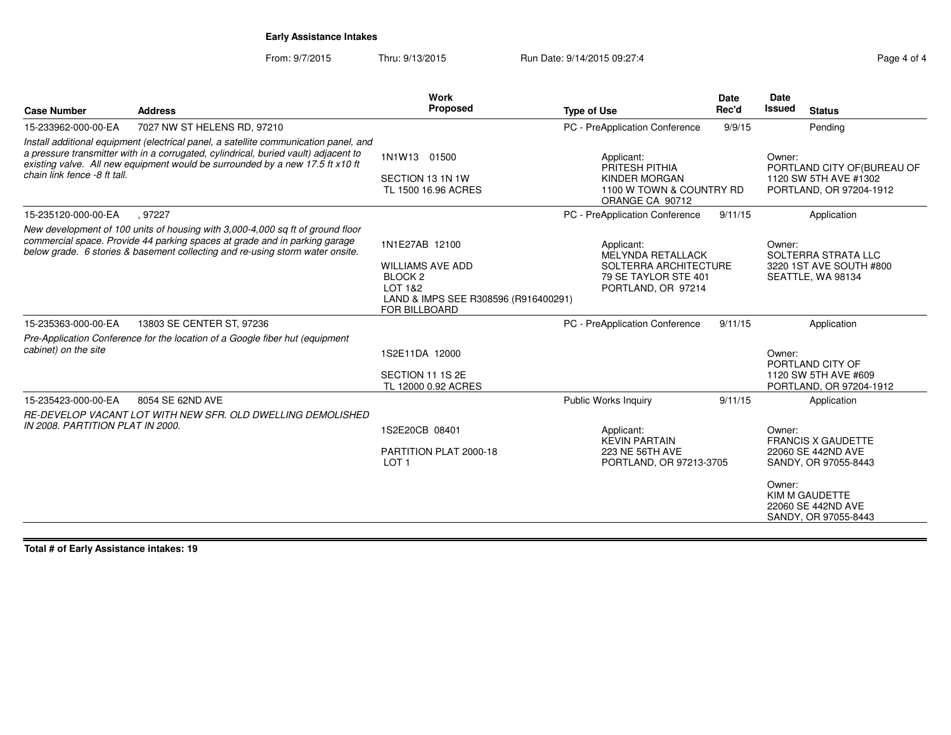From: 9/7/2015Thru: 9/13/2015 Run Date: 9/14/2015 09:27:4

| <b>Address</b>                                                                                                                                                                                                                                               | <b>Work</b><br>Proposed                                                                            | <b>Type of Use</b>                                                                                            | Date<br>Rec'd                        | Date<br><b>Issued</b>                               | <b>Status</b>                                                                                                                           |
|--------------------------------------------------------------------------------------------------------------------------------------------------------------------------------------------------------------------------------------------------------------|----------------------------------------------------------------------------------------------------|---------------------------------------------------------------------------------------------------------------|--------------------------------------|-----------------------------------------------------|-----------------------------------------------------------------------------------------------------------------------------------------|
| 7027 NW ST HELENS RD, 97210                                                                                                                                                                                                                                  |                                                                                                    | PC - PreApplication Conference                                                                                | 9/9/15                               |                                                     | Pending                                                                                                                                 |
| Install additional equipment (electrical panel, a satellite communication panel, and<br>a pressure transmitter with in a corrugated, cylindrical, buried vault) adjacent to<br>existing valve. All new equipment would be surrounded by a new 17.5 ft x10 ft | 1N1W13 01500<br>SECTION 13 1N 1W<br>TL 1500 16.96 ACRES                                            | Applicant:<br>PRITESH PITHIA<br><b>KINDER MORGAN</b><br>ORANGE CA 90712                                       |                                      | Owner:                                              | PORTLAND CITY OF (BUREAU OF<br>1120 SW 5TH AVE #1302<br>PORTLAND, OR 97204-1912                                                         |
| .97227                                                                                                                                                                                                                                                       |                                                                                                    | PC - PreApplication Conference                                                                                | 9/11/15                              |                                                     | Application                                                                                                                             |
| New development of 100 units of housing with 3,000-4,000 sq ft of ground floor<br>commercial space. Provide 44 parking spaces at grade and in parking garage<br>below grade. 6 stories & basement collecting and re-using storm water onsite.                | 1N1E27AB 12100<br><b>WILLIAMS AVE ADD</b><br>BLOCK <sub>2</sub><br>LOT 1&2<br><b>FOR BILLBOARD</b> | Applicant:<br><b>MELYNDA RETALLACK</b><br>SOLTERRA ARCHITECTURE<br>79 SE TAYLOR STE 401<br>PORTLAND, OR 97214 |                                      | Owner:                                              | SOLTERRA STRATA LLC<br>3220 1ST AVE SOUTH #800<br>SEATTLE, WA 98134                                                                     |
| 13803 SE CENTER ST, 97236                                                                                                                                                                                                                                    |                                                                                                    | PC - PreApplication Conference                                                                                | 9/11/15                              |                                                     | Application                                                                                                                             |
| Pre-Application Conference for the location of a Google fiber hut (equipment                                                                                                                                                                                 | 1S2E11DA 12000<br>SECTION 11 1S 2E<br>TL 12000 0.92 ACRES                                          |                                                                                                               |                                      | Owner:                                              | PORTLAND CITY OF<br>1120 SW 5TH AVE #609<br>PORTLAND, OR 97204-1912                                                                     |
| 8054 SE 62ND AVE                                                                                                                                                                                                                                             |                                                                                                    | <b>Public Works Inquiry</b>                                                                                   | 9/11/15                              |                                                     | Application                                                                                                                             |
| RE-DEVELOP VACANT LOT WITH NEW SFR. OLD DWELLING DEMOLISHED<br>IN 2008. PARTITION PLAT IN 2000.                                                                                                                                                              | 1S2E20CB 08401<br>PARTITION PLAT 2000-18<br>LOT <sub>1</sub>                                       | Applicant:<br><b>KEVIN PARTAIN</b><br>223 NE 56TH AVE                                                         |                                      | Owner:<br>Owner:                                    | <b>FRANCIS X GAUDETTE</b><br>22060 SE 442ND AVE<br>SANDY, OR 97055-8443<br>KIM M GAUDETTE<br>22060 SE 442ND AVE<br>SANDY, OR 97055-8443 |
|                                                                                                                                                                                                                                                              |                                                                                                    |                                                                                                               | LAND & IMPS SEE R308596 (R916400291) | 1100 W TOWN & COUNTRY RD<br>PORTLAND, OR 97213-3705 |                                                                                                                                         |

**Total # of Early Assistance intakes: 19**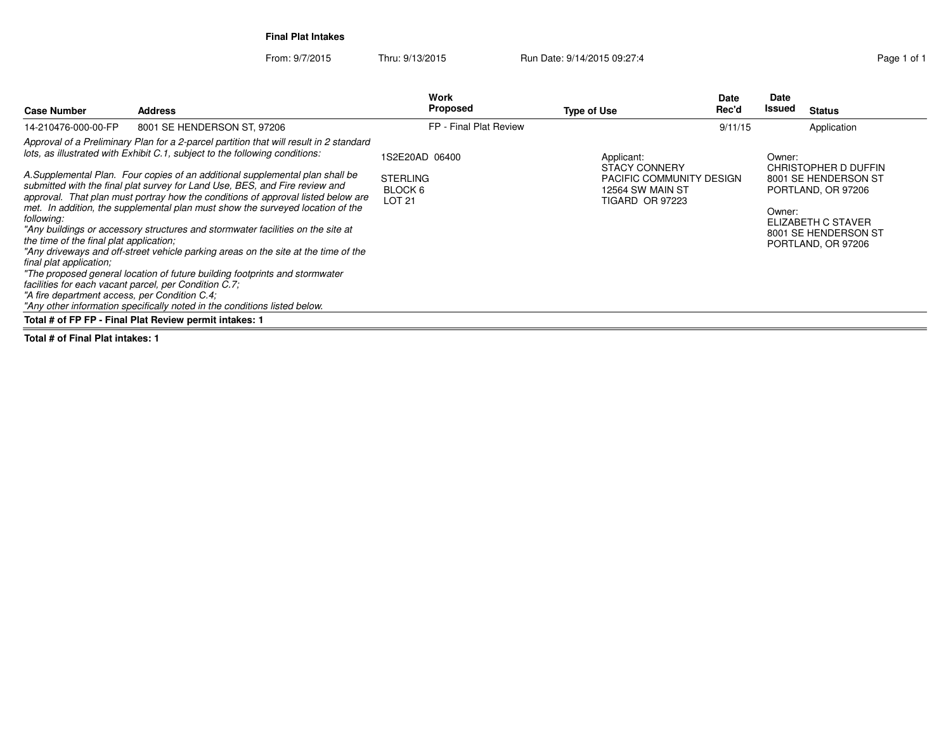**Final Plat Intakes**

From: 9/7/2015Thru: 9/13/2015 Run Date: 9/14/2015 09:27:4

| <b>Case Number</b>                                                                                     | <b>Address</b>                                                                                                                                                                                                                                                                                                                    | Work<br>Proposed                            | <b>Type of Use</b>                                                     | Date<br>Rec'd | Date<br>Issued | <b>Status</b>                                                    |
|--------------------------------------------------------------------------------------------------------|-----------------------------------------------------------------------------------------------------------------------------------------------------------------------------------------------------------------------------------------------------------------------------------------------------------------------------------|---------------------------------------------|------------------------------------------------------------------------|---------------|----------------|------------------------------------------------------------------|
| 14-210476-000-00-FP                                                                                    | 8001 SE HENDERSON ST, 97206                                                                                                                                                                                                                                                                                                       | FP - Final Plat Review                      |                                                                        | 9/11/15       |                | Application                                                      |
|                                                                                                        | Approval of a Preliminary Plan for a 2-parcel partition that will result in 2 standard<br>lots, as illustrated with Exhibit C.1, subject to the following conditions:                                                                                                                                                             | 1S2E20AD 06400                              | Applicant:<br><b>STACY CONNERY</b>                                     |               | Owner:         | CHRISTOPHER D DUFFIN                                             |
| following:                                                                                             | A.Supplemental Plan. Four copies of an additional supplemental plan shall be<br>submitted with the final plat survey for Land Use, BES, and Fire review and<br>approval. That plan must portray how the conditions of approval listed below are<br>met. In addition, the supplemental plan must show the surveyed location of the | <b>STERLING</b><br>BLOCK 6<br><b>LOT 21</b> | PACIFIC COMMUNITY DESIGN<br>12564 SW MAIN ST<br><b>TIGARD OR 97223</b> |               | Owner:         | 8001 SE HENDERSON ST<br>PORTLAND, OR 97206                       |
| the time of the final plat application;                                                                | "Any buildings or accessory structures and stormwater facilities on the site at                                                                                                                                                                                                                                                   |                                             |                                                                        |               |                | ELIZABETH C STAVER<br>8001 SE HENDERSON ST<br>PORTLAND, OR 97206 |
| final plat application;                                                                                | "Any driveways and off-street vehicle parking areas on the site at the time of the                                                                                                                                                                                                                                                |                                             |                                                                        |               |                |                                                                  |
| facilities for each vacant parcel, per Condition C.7;<br>"A fire department access, per Condition C.4; | "The proposed general location of future building footprints and stormwater<br>"Any other information specifically noted in the conditions listed below.                                                                                                                                                                          |                                             |                                                                        |               |                |                                                                  |
|                                                                                                        | Total # of FP FP - Final Plat Review permit intakes: 1                                                                                                                                                                                                                                                                            |                                             |                                                                        |               |                |                                                                  |

**Total # of Final Plat intakes: 1**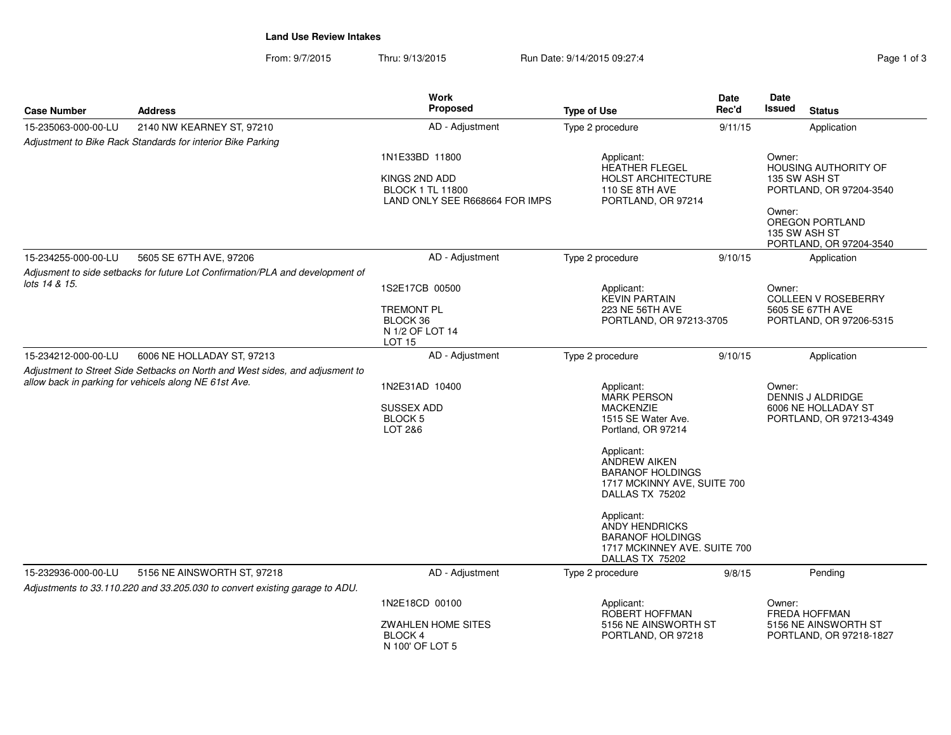**Land Use Review Intakes**

From: 9/7/2015Thru: 9/13/2015 **Run Date: 9/14/2015 09:27:4** Pag

| Page 1 of 3 |  |  |
|-------------|--|--|

|                     |                                                                                                                                       | Work                                                                                         |                                                                                                                                                                                                                                                                                                                                         | <b>Date</b> | Date             |                                                                            |
|---------------------|---------------------------------------------------------------------------------------------------------------------------------------|----------------------------------------------------------------------------------------------|-----------------------------------------------------------------------------------------------------------------------------------------------------------------------------------------------------------------------------------------------------------------------------------------------------------------------------------------|-------------|------------------|----------------------------------------------------------------------------|
| <b>Case Number</b>  | <b>Address</b>                                                                                                                        | Proposed                                                                                     | <b>Type of Use</b>                                                                                                                                                                                                                                                                                                                      | Rec'd       | Issued           | <b>Status</b>                                                              |
| 15-235063-000-00-LU | 2140 NW KEARNEY ST, 97210                                                                                                             | AD - Adjustment                                                                              | Type 2 procedure                                                                                                                                                                                                                                                                                                                        | 9/11/15     |                  | Application                                                                |
|                     | Adjustment to Bike Rack Standards for interior Bike Parking                                                                           |                                                                                              |                                                                                                                                                                                                                                                                                                                                         |             |                  |                                                                            |
|                     |                                                                                                                                       | 1N1E33BD 11800<br>KINGS 2ND ADD<br><b>BLOCK 1 TL 11800</b><br>LAND ONLY SEE R668664 FOR IMPS | Applicant:<br><b>HEATHER FLEGEL</b><br><b>HOLST ARCHITECTURE</b><br>110 SE 8TH AVE<br>PORTLAND, OR 97214                                                                                                                                                                                                                                |             | Owner:<br>Owner: | <b>HOUSING AUTHORITY OF</b><br>135 SW ASH ST<br>PORTLAND, OR 97204-3540    |
|                     |                                                                                                                                       |                                                                                              |                                                                                                                                                                                                                                                                                                                                         |             |                  | OREGON PORTLAND<br>135 SW ASH ST<br>PORTLAND, OR 97204-3540                |
| 15-234255-000-00-LU | 5605 SE 67TH AVE, 97206                                                                                                               | AD - Adjustment                                                                              | Type 2 procedure                                                                                                                                                                                                                                                                                                                        | 9/10/15     |                  | Application                                                                |
|                     | Adjusment to side setbacks for future Lot Confirmation/PLA and development of                                                         |                                                                                              |                                                                                                                                                                                                                                                                                                                                         |             |                  |                                                                            |
| lots 14 & 15.       |                                                                                                                                       | 1S2E17CB 00500<br>TREMONT PL<br>BLOCK 36<br>N 1/2 OF LOT 14<br>LOT 15                        | Applicant:<br><b>KEVIN PARTAIN</b><br>223 NE 56TH AVE<br>PORTLAND, OR 97213-3705                                                                                                                                                                                                                                                        |             | Owner:           | <b>COLLEEN V ROSEBERRY</b><br>5605 SE 67TH AVE<br>PORTLAND, OR 97206-5315  |
| 15-234212-000-00-LU | 6006 NE HOLLADAY ST, 97213                                                                                                            | AD - Adjustment                                                                              | Type 2 procedure                                                                                                                                                                                                                                                                                                                        | 9/10/15     |                  | Application                                                                |
|                     | Adjustment to Street Side Setbacks on North and West sides, and adjusment to<br>allow back in parking for vehicels along NE 61st Ave. | 1N2E31AD 10400<br><b>SUSSEX ADD</b><br><b>BLOCK5</b><br>LOT 2&6                              | Applicant:<br><b>MARK PERSON</b><br><b>MACKENZIE</b><br>1515 SE Water Ave.<br>Portland, OR 97214<br>Applicant:<br><b>ANDREW AIKEN</b><br><b>BARANOF HOLDINGS</b><br>1717 MCKINNY AVE, SUITE 700<br>DALLAS TX 75202<br>Applicant:<br><b>ANDY HENDRICKS</b><br><b>BARANOF HOLDINGS</b><br>1717 MCKINNEY AVE. SUITE 700<br>DALLAS TX 75202 |             | Owner:           | <b>DENNIS J ALDRIDGE</b><br>6006 NE HOLLADAY ST<br>PORTLAND, OR 97213-4349 |
| 15-232936-000-00-LU | 5156 NE AINSWORTH ST, 97218                                                                                                           | AD - Adjustment                                                                              | Type 2 procedure                                                                                                                                                                                                                                                                                                                        | 9/8/15      |                  | Pending                                                                    |
|                     | Adjustments to 33.110.220 and 33.205.030 to convert existing garage to ADU.                                                           |                                                                                              |                                                                                                                                                                                                                                                                                                                                         |             |                  |                                                                            |
|                     |                                                                                                                                       | 1N2E18CD 00100                                                                               | Applicant:<br>ROBERT HOFFMAN                                                                                                                                                                                                                                                                                                            |             | Owner:           | <b>FREDA HOFFMAN</b>                                                       |
|                     |                                                                                                                                       | <b>ZWAHLEN HOME SITES</b><br><b>BLOCK 4</b><br>N 100' OF LOT 5                               | 5156 NE AINSWORTH ST<br>PORTLAND, OR 97218                                                                                                                                                                                                                                                                                              |             |                  | 5156 NE AINSWORTH ST<br>PORTLAND, OR 97218-1827                            |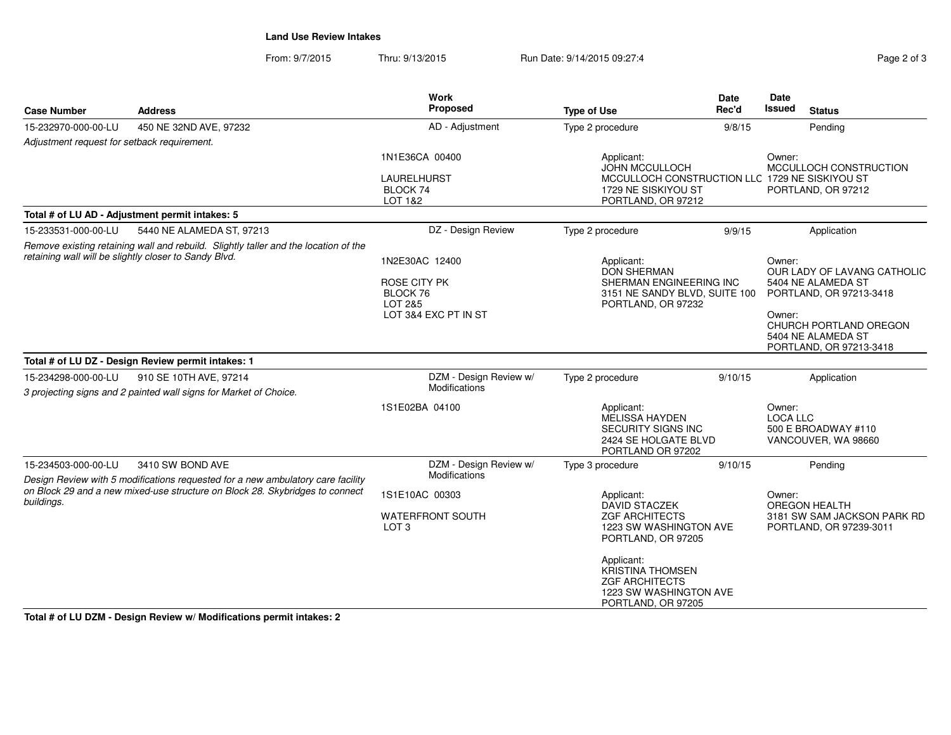**Land Use Review Intakes**

From: 9/7/2015Thru: 9/13/2015 Run Date: 9/14/2015 09:27:4

| Page 2 of 3 |  |  |
|-------------|--|--|
|             |  |  |

| <b>Case Number</b>                                                                                                                           | <b>Address</b>                                                                                      | <b>Work</b><br>Proposed                                     | <b>Type of Use</b>                                                                                             | <b>Date</b><br>Rec'd | Date<br>Issued<br><b>Status</b>                                                                              |
|----------------------------------------------------------------------------------------------------------------------------------------------|-----------------------------------------------------------------------------------------------------|-------------------------------------------------------------|----------------------------------------------------------------------------------------------------------------|----------------------|--------------------------------------------------------------------------------------------------------------|
| 15-232970-000-00-LU                                                                                                                          | 450 NE 32ND AVE, 97232                                                                              | AD - Adjustment                                             | Type 2 procedure                                                                                               | 9/8/15               | Pending                                                                                                      |
| Adjustment request for setback requirement.                                                                                                  |                                                                                                     |                                                             |                                                                                                                |                      |                                                                                                              |
|                                                                                                                                              |                                                                                                     | 1N1E36CA 00400<br><b>LAURELHURST</b><br>BLOCK 74<br>LOT 1&2 | Applicant:<br><b>JOHN MCCULLOCH</b><br>1729 NE SISKIYOU ST<br>PORTLAND, OR 97212                               |                      | Owner:<br>MCCULLOCH CONSTRUCTION<br>MCCULLOCH CONSTRUCTION LLC 1729 NE SISKIYOU ST<br>PORTLAND, OR 97212     |
|                                                                                                                                              | Total # of LU AD - Adjustment permit intakes: 5                                                     |                                                             |                                                                                                                |                      |                                                                                                              |
| 15-233531-000-00-LU                                                                                                                          | 5440 NE ALAMEDA ST, 97213                                                                           | DZ - Design Review                                          | Type 2 procedure                                                                                               | 9/9/15               | Application                                                                                                  |
| Remove existing retaining wall and rebuild. Slightly taller and the location of the<br>retaining wall will be slightly closer to Sandy Blvd. |                                                                                                     | 1N2E30AC 12400<br><b>ROSE CITY PK</b>                       | Applicant:<br><b>DON SHERMAN</b><br>SHERMAN ENGINEERING INC                                                    |                      | Owner:<br>OUR LADY OF LAVANG CATHOLIC<br>5404 NE ALAMEDA ST                                                  |
|                                                                                                                                              |                                                                                                     | BLOCK 76<br>LOT 2&5<br>LOT 3&4 EXC PT IN ST                 | 3151 NE SANDY BLVD, SUITE 100<br>PORTLAND, OR 97232                                                            |                      | PORTLAND, OR 97213-3418<br>Owner:<br>CHURCH PORTLAND OREGON<br>5404 NE ALAMEDA ST<br>PORTLAND, OR 97213-3418 |
|                                                                                                                                              | Total # of LU DZ - Design Review permit intakes: 1                                                  |                                                             |                                                                                                                |                      |                                                                                                              |
| 15-234298-000-00-LU                                                                                                                          | 910 SE 10TH AVE, 97214<br>3 projecting signs and 2 painted wall signs for Market of Choice.         | DZM - Design Review w/<br>Modifications                     | Type 2 procedure                                                                                               | 9/10/15              | Application                                                                                                  |
|                                                                                                                                              |                                                                                                     | 1S1E02BA 04100                                              | Applicant:<br>MELISSA HAYDEN<br><b>SECURITY SIGNS INC</b><br>2424 SE HOLGATE BLVD<br>PORTLAND OR 97202         |                      | Owner:<br><b>LOCA LLC</b><br>500 E BROADWAY #110<br>VANCOUVER, WA 98660                                      |
| 15-234503-000-00-LU                                                                                                                          | 3410 SW BOND AVE<br>Design Review with 5 modifications requested for a new ambulatory care facility | DZM - Design Review w/<br>Modifications                     | Type 3 procedure                                                                                               | 9/10/15              | Pending                                                                                                      |
| buildings.                                                                                                                                   | on Block 29 and a new mixed-use structure on Block 28. Skybridges to connect                        | 1S1E10AC 00303                                              | Applicant:<br><b>DAVID STACZEK</b>                                                                             |                      | Owner:<br><b>OREGON HEALTH</b>                                                                               |
|                                                                                                                                              |                                                                                                     | <b>WATERFRONT SOUTH</b><br>LOT <sub>3</sub>                 | <b>ZGF ARCHITECTS</b><br>1223 SW WASHINGTON AVE<br>PORTLAND, OR 97205                                          |                      | 3181 SW SAM JACKSON PARK RD<br>PORTLAND, OR 97239-3011                                                       |
|                                                                                                                                              |                                                                                                     |                                                             | Applicant:<br><b>KRISTINA THOMSEN</b><br><b>ZGF ARCHITECTS</b><br>1223 SW WASHINGTON AVE<br>PORTLAND, OR 97205 |                      |                                                                                                              |

**Total # of LU DZM - Design Review w/ Modifications permit intakes: 2**